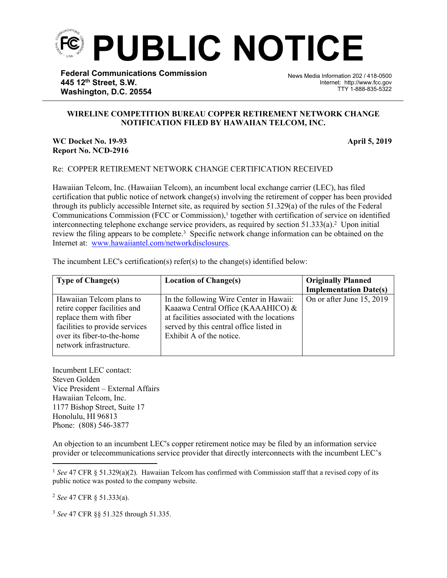

**Federal Communications Commission 445 12th Street, S.W. Washington, D.C. 20554**

News Media Information 202 / 418-0500 Internet: http://www.fcc.gov TTY 1-888-835-5322

## **WIRELINE COMPETITION BUREAU COPPER RETIREMENT NETWORK CHANGE NOTIFICATION FILED BY HAWAIIAN TELCOM, INC.**

֡֡֡֡

## **WC Docket No. 19-93 April 5, 2019 Report No. NCD-2916**

## Re: COPPER RETIREMENT NETWORK CHANGE CERTIFICATION RECEIVED

Hawaiian Telcom, Inc. (Hawaiian Telcom), an incumbent local exchange carrier (LEC), has filed certification that public notice of network change(s) involving the retirement of copper has been provided through its publicly accessible Internet site, as required by section 51.329(a) of the rules of the Federal Communications Commission (FCC or Commission),<sup>1</sup> together with certification of service on identified interconnecting telephone exchange service providers, as required by section  $51.333(a)$ .<sup>2</sup> Upon initial review the filing appears to be complete.<sup>3</sup> Specific network change information can be obtained on the Internet at: [www.hawaiiantel.com/networkdisclosures](http://www.hawaiiantel.com/networkdisclosures).

| <b>Type of Change(s)</b>                                                                                                                                                       | <b>Location of Change(s)</b>                                                                                                                                                                        | <b>Originally Planned</b><br><b>Implementation Date(s)</b> |
|--------------------------------------------------------------------------------------------------------------------------------------------------------------------------------|-----------------------------------------------------------------------------------------------------------------------------------------------------------------------------------------------------|------------------------------------------------------------|
| Hawaiian Telcom plans to<br>retire copper facilities and<br>replace them with fiber<br>facilities to provide services<br>over its fiber-to-the-home<br>network infrastructure. | In the following Wire Center in Hawaii:<br>Kaaawa Central Office (KAAAHICO) &<br>at facilities associated with the locations<br>served by this central office listed in<br>Exhibit A of the notice. | On or after June 15, 2019                                  |

The incumbent LEC's certification(s) refer(s) to the change(s) identified below:

Incumbent LEC contact: Steven Golden Vice President – External Affairs Hawaiian Telcom, Inc. 1177 Bishop Street, Suite 17 Honolulu, HI 96813 Phone: (808) 546-3877

An objection to an incumbent LEC's copper retirement notice may be filed by an information service provider or telecommunications service provider that directly interconnects with the incumbent LEC's

<sup>2</sup> *See* 47 CFR § 51.333(a).

<sup>3</sup> *See* 47 CFR §§ 51.325 through 51.335.

<sup>1</sup> *See* 47 CFR § 51.329(a)(2). Hawaiian Telcom has confirmed with Commission staff that a revised copy of its public notice was posted to the company website.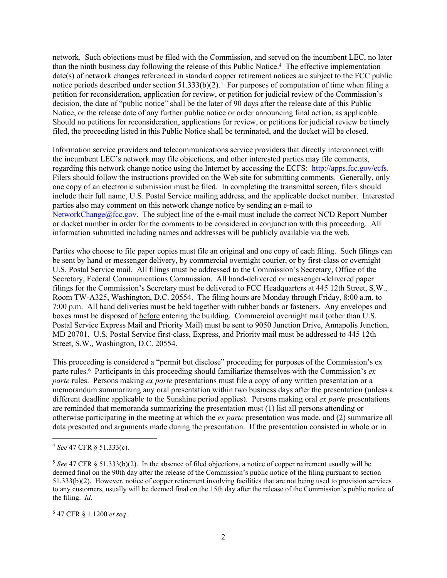network. Such objections must be filed with the Commission, and served on the incumbent LEC, no later than the ninth business day following the release of this Public Notice.<sup>4</sup> The effective implementation date(s) of network changes referenced in standard copper retirement notices are subject to the FCC public notice periods described under section  $51.333(b)(2)$ .<sup>5</sup> For purposes of computation of time when filing a petition for reconsideration, application for review, or petition for judicial review of the Commission's decision, the date of "public notice" shall be the later of 90 days after the release date of this Public Notice, or the release date of any further public notice or order announcing final action, as applicable. Should no petitions for reconsideration, applications for review, or petitions for judicial review be timely filed, the proceeding listed in this Public Notice shall be terminated, and the docket will be closed.

Information service providers and telecommunications service providers that directly interconnect with the incumbent LEC's network may file objections, and other interested parties may file comments, regarding this network change notice using the Internet by accessing the ECFS: [http://apps.fcc.gov/ecfs.](http://apps.fcc.gov/ecfs) Filers should follow the instructions provided on the Web site for submitting comments. Generally, only one copy of an electronic submission must be filed. In completing the transmittal screen, filers should include their full name, U.S. Postal Service mailing address, and the applicable docket number. Interested parties also may comment on this network change notice by sending an e-mail to [NetworkChange@fcc.gov.](mailto:NetworkChange@fcc.gov) The subject line of the e-mail must include the correct NCD Report Number or docket number in order for the comments to be considered in conjunction with this proceeding. All information submitted including names and addresses will be publicly available via the web.

Parties who choose to file paper copies must file an original and one copy of each filing. Such filings can be sent by hand or messenger delivery, by commercial overnight courier, or by first-class or overnight U.S. Postal Service mail. All filings must be addressed to the Commission's Secretary, Office of the Secretary, Federal Communications Commission. All hand-delivered or messenger-delivered paper filings for the Commission's Secretary must be delivered to FCC Headquarters at 445 12th Street, S.W., Room TW-A325, Washington, D.C. 20554. The filing hours are Monday through Friday, 8:00 a.m. to 7:00 p.m. All hand deliveries must be held together with rubber bands or fasteners. Any envelopes and boxes must be disposed of before entering the building. Commercial overnight mail (other than U.S. Postal Service Express Mail and Priority Mail) must be sent to 9050 Junction Drive, Annapolis Junction, MD 20701. U.S. Postal Service first-class, Express, and Priority mail must be addressed to 445 12th Street, S.W., Washington, D.C. 20554.

This proceeding is considered a "permit but disclose" proceeding for purposes of the Commission's ex parte rules.<sup>6</sup> Participants in this proceeding should familiarize themselves with the Commission's *ex parte* rules. Persons making *ex parte* presentations must file a copy of any written presentation or a memorandum summarizing any oral presentation within two business days after the presentation (unless a different deadline applicable to the Sunshine period applies). Persons making oral *ex parte* presentations are reminded that memoranda summarizing the presentation must (1) list all persons attending or otherwise participating in the meeting at which the *ex parte* presentation was made, and (2) summarize all data presented and arguments made during the presentation. If the presentation consisted in whole or in

<sup>4</sup> *See* 47 CFR § 51.333(c).

<sup>5</sup> *See* 47 CFR § 51.333(b)(2). In the absence of filed objections, a notice of copper retirement usually will be deemed final on the 90th day after the release of the Commission's public notice of the filing pursuant to section 51.333(b)(2). However, notice of copper retirement involving facilities that are not being used to provision services to any customers, usually will be deemed final on the 15th day after the release of the Commission's public notice of the filing. *Id*.

<sup>6</sup> 47 CFR § 1.1200 *et seq*.